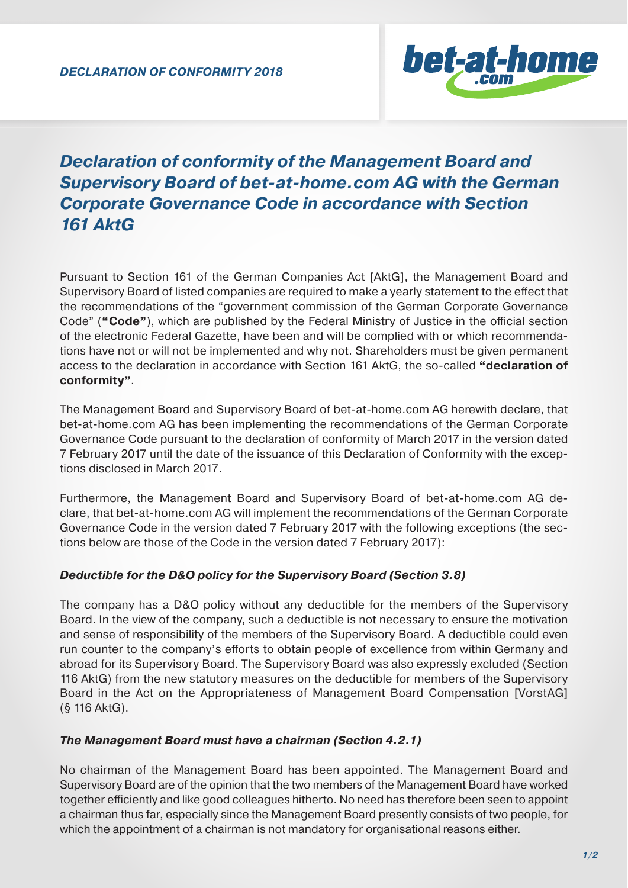

# *Declaration of conformity of the Management Board and Supervisory Board of bet-at-home.com AG with the German Corporate Governance Code in accordance with Section 161 AktG*

Pursuant to Section 161 of the German Companies Act [AktG], the Management Board and Supervisory Board of listed companies are required to make a yearly statement to the effect that the recommendations of the "government commission of the German Corporate Governance Code" ("Code"), which are published by the Federal Ministry of Justice in the official section of the electronic Federal Gazette, have been and will be complied with or which recommendations have not or will not be implemented and why not. Shareholders must be given permanent access to the declaration in accordance with Section 161 AktG, the so-called **"declaration of conformity"**.

The Management Board and Supervisory Board of bet-at-home.com AG herewith declare, that bet-at-home.com AG has been implementing the recommendations of the German Corporate Governance Code pursuant to the declaration of conformity of March 2017 in the version dated 7 February 2017 until the date of the issuance of this Declaration of Conformity with the exceptions disclosed in March 2017.

Furthermore, the Management Board and Supervisory Board of bet-at-home.com AG declare, that bet-at-home.com AG will implement the recommendations of the German Corporate Governance Code in the version dated 7 February 2017 with the following exceptions (the sections below are those of the Code in the version dated 7 February 2017):

## *Deductible for the D&O policy for the Supervisory Board (Section 3.8)*

The company has a D&O policy without any deductible for the members of the Supervisory Board. In the view of the company, such a deductible is not necessary to ensure the motivation and sense of responsibility of the members of the Supervisory Board. A deductible could even run counter to the company's efforts to obtain people of excellence from within Germany and abroad for its Supervisory Board. The Supervisory Board was also expressly excluded (Section 116 AktG) from the new statutory measures on the deductible for members of the Supervisory Board in the Act on the Appropriateness of Management Board Compensation [VorstAG] (§ 116 AktG).

## *The Management Board must have a chairman (Section 4.2.1)*

No chairman of the Management Board has been appointed. The Management Board and Supervisory Board are of the opinion that the two members of the Management Board have worked together efficiently and like good colleagues hitherto. No need has therefore been seen to appoint a chairman thus far, especially since the Management Board presently consists of two people, for which the appointment of a chairman is not mandatory for organisational reasons either.